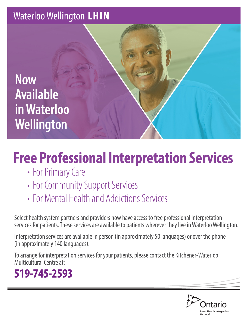### **Waterloo Wellington LHIN**

**Now Available in Waterloo Wellington**

# **Free Professional Interpretation Services**

- For Primary Care
- For Community Support Services
- For Mental Health and Addictions Services

Select health system partners and providers now have access to free professional interpretation services for patients. These services are available to patients wherever they live in Waterloo Wellington.

Interpretation services are available in person (in approximately 50 languages) or over the phone (in approximately 140 languages).

To arrange for interpretation services for your patients, please contact the Kitchener-Waterloo Multicultural Centre at:

## **519-745-2593**